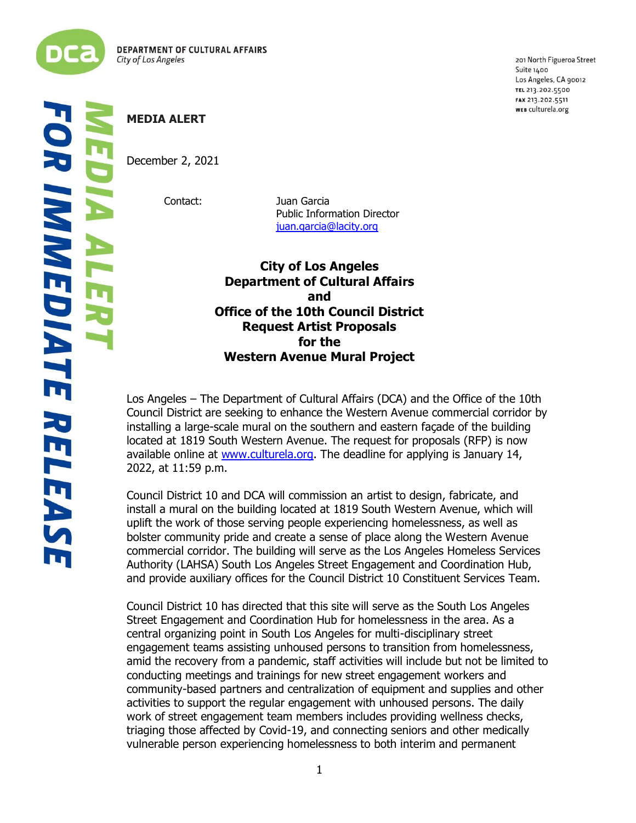

ļ į 201 North Figueroa Street Suite 1400 Los Angeles, CA 90012 TEL 213.202.5500 FAX 213.202.5511 WEB culturela.org

## **MEDIA ALERT**

December 2, 2021

Contact: Juan Garcia Public Information Director [juan.garcia@lacity.org](mailto:juan.garcia@lacity.org)

> **City of Los Angeles Department of Cultural Affairs and Office of the 10th Council District Request Artist Proposals for the Western Avenue Mural Project**

Los Angeles – The Department of Cultural Affairs (DCA) and the Office of the 10th Council District are seeking to enhance the Western Avenue commercial corridor by installing a large-scale mural on the southern and eastern façade of the building located at 1819 South Western Avenue. The request for proposals (RFP) is now available online at [www.culturela.org.](http://www.culturela.org/) The deadline for applying is January 14, 2022, at 11:59 p.m.

Council District 10 and DCA will commission an artist to design, fabricate, and install a mural on the building located at 1819 South Western Avenue, which will uplift the work of those serving people experiencing homelessness, as well as bolster community pride and create a sense of place along the Western Avenue commercial corridor. The building will serve as the Los Angeles Homeless Services Authority (LAHSA) South Los Angeles Street Engagement and Coordination Hub, and provide auxiliary offices for the Council District 10 Constituent Services Team.

Council District 10 has directed that this site will serve as the South Los Angeles Street Engagement and Coordination Hub for homelessness in the area. As a central organizing point in South Los Angeles for multi-disciplinary street engagement teams assisting unhoused persons to transition from homelessness, amid the recovery from a pandemic, staff activities will include but not be limited to conducting meetings and trainings for new street engagement workers and community-based partners and centralization of equipment and supplies and other activities to support the regular engagement with unhoused persons. The daily work of street engagement team members includes providing wellness checks, triaging those affected by Covid-19, and connecting seniors and other medically vulnerable person experiencing homelessness to both interim and permanent